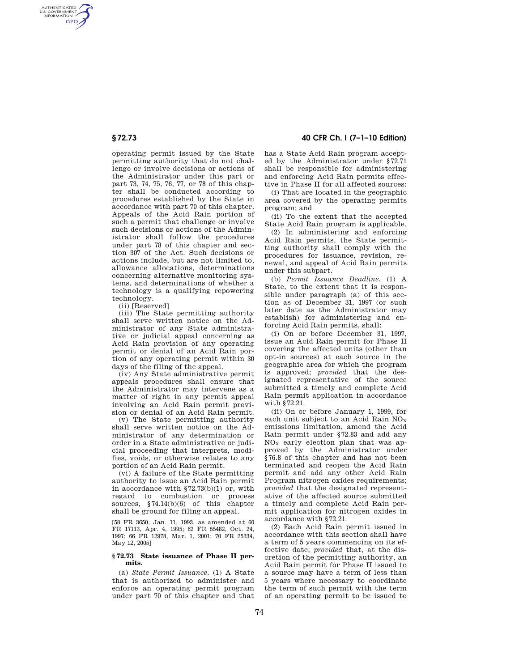AUTHENTICATED<br>U.S. GOVERNMENT<br>INFORMATION **GPO** 

> operating permit issued by the State permitting authority that do not challenge or involve decisions or actions of the Administrator under this part or part 73, 74, 75, 76, 77, or 78 of this chapter shall be conducted according to procedures established by the State in accordance with part 70 of this chapter. Appeals of the Acid Rain portion of such a permit that challenge or involve such decisions or actions of the Administrator shall follow the procedures under part 78 of this chapter and section 307 of the Act. Such decisions or actions include, but are not limited to, allowance allocations, determinations concerning alternative monitoring systems, and determinations of whether a technology is a qualifying repowering technology.

(ii) [Reserved]

(iii) The State permitting authority shall serve written notice on the Administrator of any State administrative or judicial appeal concerning as Acid Rain provision of any operating permit or denial of an Acid Rain portion of any operating permit within 30 days of the filing of the appeal.

(iv) Any State administrative permit appeals procedures shall ensure that the Administrator may intervene as a matter of right in any permit appeal involving an Acid Rain permit provision or denial of an Acid Rain permit.

(v) The State permitting authority shall serve written notice on the Administrator of any determination or order in a State administrative or judicial proceeding that interprets, modifies, voids, or otherwise relates to any portion of an Acid Rain permit.

(vi) A failure of the State permitting authority to issue an Acid Rain permit in accordance with §72.73(b)(1) or, with regard to combustion or process sources, §74.14(b)(6) of this chapter shall be ground for filing an appeal.

[58 FR 3650, Jan. 11, 1993, as amended at 60 FR 17113, Apr. 4, 1995; 62 FR 55482, Oct. 24, 1997; 66 FR 12978, Mar. 1, 2001; 70 FR 25334, May 12, 2005]

## **§ 72.73 State issuance of Phase II permits.**

(a) *State Permit Issuance.* (1) A State that is authorized to administer and enforce an operating permit program under part 70 of this chapter and that

## **§ 72.73 40 CFR Ch. I (7–1–10 Edition)**

has a State Acid Rain program accepted by the Administrator under §72.71 shall be responsible for administering and enforcing Acid Rain permits effective in Phase II for all affected sources:

(i) That are located in the geographic area covered by the operating permits program; and

(ii) To the extent that the accepted State Acid Rain program is applicable.

(2) In administering and enforcing Acid Rain permits, the State permitting authority shall comply with the procedures for issuance, revision, renewal, and appeal of Acid Rain permits under this subpart.

(b) *Permit Issuance Deadline.* (1) A State, to the extent that it is responsible under paragraph (a) of this section as of December 31, 1997 (or such later date as the Administrator may establish) for administering and enforcing Acid Rain permits, shall:

(i) On or before December 31, 1997, issue an Acid Rain permit for Phase II covering the affected units (other than opt-in sources) at each source in the geographic area for which the program is approved; *provided* that the designated representative of the source submitted a timely and complete Acid Rain permit application in accordance with §72.21.

(ii) On or before January 1, 1999, for each unit subject to an Acid Rain  $NO<sub>x</sub>$ emissions limitation, amend the Acid Rain permit under §72.83 and add any  $NO<sub>x</sub>$  early election plan that was approved by the Administrator under §76.8 of this chapter and has not been terminated and reopen the Acid Rain permit and add any other Acid Rain Program nitrogen oxides requirements; *provided* that the designated representative of the affected source submitted a timely and complete Acid Rain permit application for nitrogen oxides in accordance with §72.21.

(2) Each Acid Rain permit issued in accordance with this section shall have a term of 5 years commencing on its effective date; *provided* that, at the discretion of the permitting authority, an Acid Rain permit for Phase II issued to a source may have a term of less than 5 years where necessary to coordinate the term of such permit with the term of an operating permit to be issued to